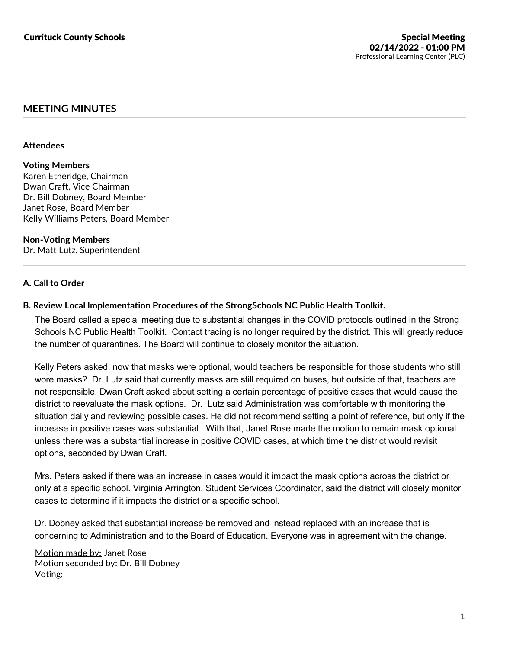# **MEETING MINUTES**

#### **Attendees**

### **Voting Members**

Karen Etheridge, Chairman Dwan Craft, Vice Chairman Dr. Bill Dobney, Board Member Janet Rose, Board Member Kelly Williams Peters, Board Member

**Non-Voting Members** Dr. Matt Lutz, Superintendent

## **A. Call to Order**

### **B. Review Local Implementation Procedures of the StrongSchools NC Public Health Toolkit.**

The Board called a special meeting due to substantial changes in the COVID protocols outlined in the Strong Schools NC Public Health Toolkit. Contact tracing is no longer required by the district. This will greatly reduce the number of quarantines. The Board will continue to closely monitor the situation.

Kelly Peters asked, now that masks were optional, would teachers be responsible for those students who still wore masks? Dr. Lutz said that currently masks are still required on buses, but outside of that, teachers are not responsible. Dwan Craft asked about setting a certain percentage of positive cases that would cause the district to reevaluate the mask options. Dr. Lutz said Administration was comfortable with monitoring the situation daily and reviewing possible cases. He did not recommend setting a point of reference, but only if the increase in positive cases was substantial. With that, Janet Rose made the motion to remain mask optional unless there was a substantial increase in positive COVID cases, at which time the district would revisit options, seconded by Dwan Craft.

Mrs. Peters asked if there was an increase in cases would it impact the mask options across the district or only at a specific school. Virginia Arrington, Student Services Coordinator, said the district will closely monitor cases to determine if it impacts the district or a specific school.

Dr. Dobney asked that substantial increase be removed and instead replaced with an increase that is concerning to Administration and to the Board of Education. Everyone was in agreement with the change.

Motion made by: Janet Rose Motion seconded by: Dr. Bill Dobney Voting: